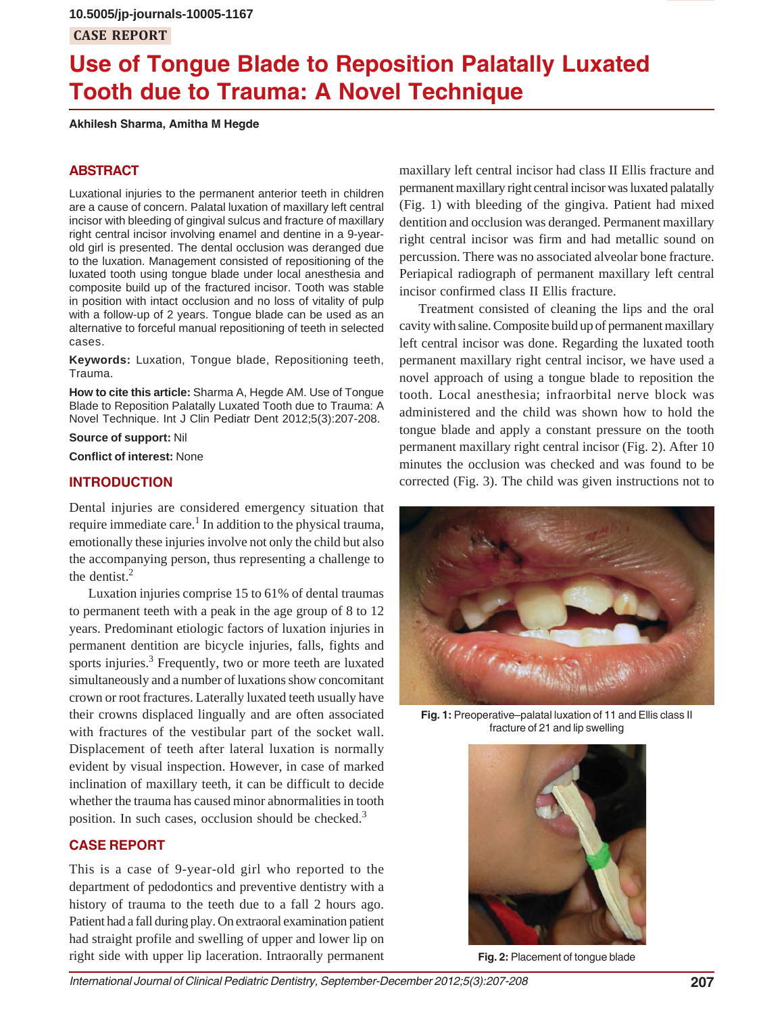# **CASE REPORT**

# **Use of Tongue Blade to Reposition Palatally Luxated Tooth due to Trauma: A Novel Technique**

**Akhilesh Sharma, Amitha M Hegde**

## **ABSTRACT**

Luxational injuries to the permanent anterior teeth in children are a cause of concern. Palatal luxation of maxillary left central incisor with bleeding of gingival sulcus and fracture of maxillary right central incisor involving enamel and dentine in a 9-yearold girl is presented. The dental occlusion was deranged due to the luxation. Management consisted of repositioning of the luxated tooth using tongue blade under local anesthesia and composite build up of the fractured incisor. Tooth was stable in position with intact occlusion and no loss of vitality of pulp with a follow-up of 2 years. Tongue blade can be used as an alternative to forceful manual repositioning of teeth in selected cases.

**Keywords:** Luxation, Tongue blade, Repositioning teeth, Trauma.

**How to cite this article:** Sharma A, Hegde AM. Use of Tongue Blade to Reposition Palatally Luxated Tooth due to Trauma: A Novel Technique. Int J Clin Pediatr Dent 2012;5(3):207-208.

**Source of support:** Nil

**Conflict of interest:** None

## **INTRODUCTION**

Dental injuries are considered emergency situation that require immediate care.<sup>1</sup> In addition to the physical trauma, emotionally these injuries involve not only the child but also the accompanying person, thus representing a challenge to the dentist.2

Luxation injuries comprise 15 to 61% of dental traumas to permanent teeth with a peak in the age group of 8 to 12 years. Predominant etiologic factors of luxation injuries in permanent dentition are bicycle injuries, falls, fights and sports injuries.<sup>3</sup> Frequently, two or more teeth are luxated simultaneously and a number of luxations show concomitant crown or root fractures. Laterally luxated teeth usually have their crowns displaced lingually and are often associated with fractures of the vestibular part of the socket wall. Displacement of teeth after lateral luxation is normally evident by visual inspection. However, in case of marked inclination of maxillary teeth, it can be difficult to decide whether the trauma has caused minor abnormalities in tooth position. In such cases, occlusion should be checked.<sup>3</sup>

## **CASE REPORT**

This is a case of 9-year-old girl who reported to the department of pedodontics and preventive dentistry with a history of trauma to the teeth due to a fall 2 hours ago. Patient had a fall during play. On extraoral examination patient had straight profile and swelling of upper and lower lip on right side with upper lip laceration. Intraorally permanent

maxillary left central incisor had class II Ellis fracture and permanent maxillary right central incisor was luxated palatally (Fig. 1) with bleeding of the gingiva. Patient had mixed dentition and occlusion was deranged. Permanent maxillary right central incisor was firm and had metallic sound on percussion. There was no associated alveolar bone fracture. Periapical radiograph of permanent maxillary left central incisor confirmed class II Ellis fracture.

Treatment consisted of cleaning the lips and the oral cavity with saline. Composite build up of permanent maxillary left central incisor was done. Regarding the luxated tooth permanent maxillary right central incisor, we have used a novel approach of using a tongue blade to reposition the tooth. Local anesthesia; infraorbital nerve block was administered and the child was shown how to hold the tongue blade and apply a constant pressure on the tooth permanent maxillary right central incisor (Fig. 2). After 10 minutes the occlusion was checked and was found to be corrected (Fig. 3). The child was given instructions not to



**Fig. 1:** Preoperative–palatal luxation of 11 and Ellis class II fracture of 21 and lip swelling



**Fig. 2:** Placement of tongue blade